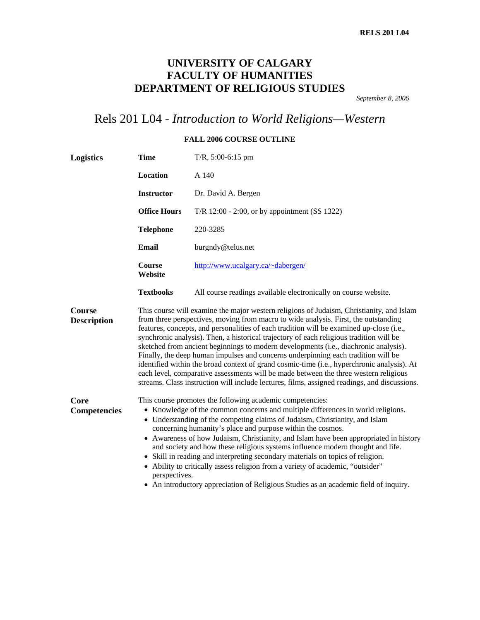## **UNIVERSITY OF CALGARY FACULTY OF HUMANITIES DEPARTMENT OF RELIGIOUS STUDIES**

*September 8, 2006* 

# Rels 201 L04 - *Introduction to World Religions—Western*

#### **FALL 2006 COURSE OUTLINE**

| Logistics                    | <b>Time</b><br>$T/R$ , 5:00-6:15 pm                                                                                                                                                                                                                                                                                                                                                                                                                                                                                                                                                                                                                                                                                                               |                                                                                                                                                                                                                                                                                                                                                                                                                                                                                                                                                                                                                                                                                                                                                                                                                                           |  |
|------------------------------|---------------------------------------------------------------------------------------------------------------------------------------------------------------------------------------------------------------------------------------------------------------------------------------------------------------------------------------------------------------------------------------------------------------------------------------------------------------------------------------------------------------------------------------------------------------------------------------------------------------------------------------------------------------------------------------------------------------------------------------------------|-------------------------------------------------------------------------------------------------------------------------------------------------------------------------------------------------------------------------------------------------------------------------------------------------------------------------------------------------------------------------------------------------------------------------------------------------------------------------------------------------------------------------------------------------------------------------------------------------------------------------------------------------------------------------------------------------------------------------------------------------------------------------------------------------------------------------------------------|--|
|                              | Location                                                                                                                                                                                                                                                                                                                                                                                                                                                                                                                                                                                                                                                                                                                                          | A 140                                                                                                                                                                                                                                                                                                                                                                                                                                                                                                                                                                                                                                                                                                                                                                                                                                     |  |
|                              | <b>Instructor</b>                                                                                                                                                                                                                                                                                                                                                                                                                                                                                                                                                                                                                                                                                                                                 | Dr. David A. Bergen                                                                                                                                                                                                                                                                                                                                                                                                                                                                                                                                                                                                                                                                                                                                                                                                                       |  |
|                              | <b>Office Hours</b>                                                                                                                                                                                                                                                                                                                                                                                                                                                                                                                                                                                                                                                                                                                               | T/R $12:00 - 2:00$ , or by appointment (SS 1322)                                                                                                                                                                                                                                                                                                                                                                                                                                                                                                                                                                                                                                                                                                                                                                                          |  |
|                              | <b>Telephone</b>                                                                                                                                                                                                                                                                                                                                                                                                                                                                                                                                                                                                                                                                                                                                  | 220-3285                                                                                                                                                                                                                                                                                                                                                                                                                                                                                                                                                                                                                                                                                                                                                                                                                                  |  |
|                              | Email                                                                                                                                                                                                                                                                                                                                                                                                                                                                                                                                                                                                                                                                                                                                             | burgndy@telus.net                                                                                                                                                                                                                                                                                                                                                                                                                                                                                                                                                                                                                                                                                                                                                                                                                         |  |
|                              | <b>Course</b><br>Website                                                                                                                                                                                                                                                                                                                                                                                                                                                                                                                                                                                                                                                                                                                          | http://www.ucalgary.ca/~dabergen/                                                                                                                                                                                                                                                                                                                                                                                                                                                                                                                                                                                                                                                                                                                                                                                                         |  |
|                              | <b>Textbooks</b>                                                                                                                                                                                                                                                                                                                                                                                                                                                                                                                                                                                                                                                                                                                                  | All course readings available electronically on course website.                                                                                                                                                                                                                                                                                                                                                                                                                                                                                                                                                                                                                                                                                                                                                                           |  |
| Course<br><b>Description</b> |                                                                                                                                                                                                                                                                                                                                                                                                                                                                                                                                                                                                                                                                                                                                                   | This course will examine the major western religions of Judaism, Christianity, and Islam<br>from three perspectives, moving from macro to wide analysis. First, the outstanding<br>features, concepts, and personalities of each tradition will be examined up-close (i.e.,<br>synchronic analysis). Then, a historical trajectory of each religious tradition will be<br>sketched from ancient beginnings to modern developments (i.e., diachronic analysis).<br>Finally, the deep human impulses and concerns underpinning each tradition will be<br>identified within the broad context of grand cosmic-time (i.e., hyperchronic analysis). At<br>each level, comparative assessments will be made between the three western religious<br>streams. Class instruction will include lectures, films, assigned readings, and discussions. |  |
| Core<br><b>Competencies</b>  | This course promotes the following academic competencies:<br>• Knowledge of the common concerns and multiple differences in world religions.<br>• Understanding of the competing claims of Judaism, Christianity, and Islam<br>concerning humanity's place and purpose within the cosmos.<br>• Awareness of how Judaism, Christianity, and Islam have been appropriated in history<br>and society and how these religious systems influence modern thought and life.<br>• Skill in reading and interpreting secondary materials on topics of religion.<br>• Ability to critically assess religion from a variety of academic, "outsider"<br>perspectives.<br>• An introductory appreciation of Religious Studies as an academic field of inquiry. |                                                                                                                                                                                                                                                                                                                                                                                                                                                                                                                                                                                                                                                                                                                                                                                                                                           |  |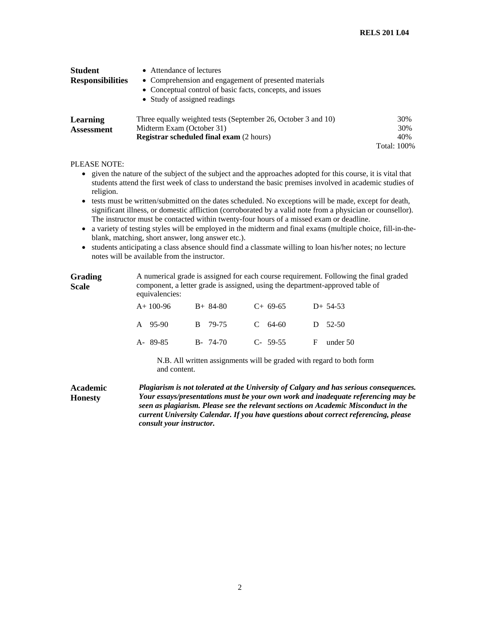| <b>Student</b>          | • Attendance of lectures                                                                                                                           |                    |
|-------------------------|----------------------------------------------------------------------------------------------------------------------------------------------------|--------------------|
| <b>Responsibilities</b> | • Comprehension and engagement of presented materials<br>• Conceptual control of basic facts, concepts, and issues<br>• Study of assigned readings |                    |
| Learning                | Three equally weighted tests (September 26, October 3 and 10)                                                                                      | 30%                |
| <b>Assessment</b>       | Midterm Exam (October 31)                                                                                                                          | 30%                |
|                         | <b>Registrar scheduled final exam (2 hours)</b>                                                                                                    | 40%                |
|                         |                                                                                                                                                    | <b>Total: 100%</b> |

#### PLEASE NOTE:

- given the nature of the subject of the subject and the approaches adopted for this course, it is vital that students attend the first week of class to understand the basic premises involved in academic studies of religion.
- tests must be written/submitted on the dates scheduled. No exceptions will be made, except for death, significant illness, or domestic affliction (corroborated by a valid note from a physician or counsellor). The instructor must be contacted within twenty-four hours of a missed exam or deadline.
- a variety of testing styles will be employed in the midterm and final exams (multiple choice, fill-in-theblank, matching, short answer, long answer etc.).
- students anticipating a class absence should find a classmate willing to loan his/her notes; no lecture notes will be available from the instructor.

| <b>Grading</b><br><b>Scale</b> |            | A numerical grade is assigned for each course requirement. Following the final graded<br>component, a letter grade is assigned, using the department-approved table of<br>equivalencies: |             |                                                                                                                                                                                                                                                                   |  |  |
|--------------------------------|------------|------------------------------------------------------------------------------------------------------------------------------------------------------------------------------------------|-------------|-------------------------------------------------------------------------------------------------------------------------------------------------------------------------------------------------------------------------------------------------------------------|--|--|
|                                | $A+100-96$ | $B+84-80$                                                                                                                                                                                | $C+69-65$   | $D+ 54-53$                                                                                                                                                                                                                                                        |  |  |
|                                | A 95-90    | 79-75<br>B.                                                                                                                                                                              | 64-60<br>C. | 52-50<br>$\Box$                                                                                                                                                                                                                                                   |  |  |
|                                | A-89-85    | $B - 74-70$                                                                                                                                                                              | $C-59-55$   | F<br>under $50$                                                                                                                                                                                                                                                   |  |  |
|                                |            | N.B. All written assignments will be graded with regard to both form<br>and content.                                                                                                     |             |                                                                                                                                                                                                                                                                   |  |  |
| Academic<br><b>Honesty</b>     |            |                                                                                                                                                                                          |             | Plagiarism is not tolerated at the University of Calgary and has serious consequences.<br>Your essays/presentations must be your own work and inadequate referencing may be<br>seen as plagiarism. Please see the relevant sections on Academic Misconduct in the |  |  |

*consult your instructor.* 

*current University Calendar. If you have questions about correct referencing, please*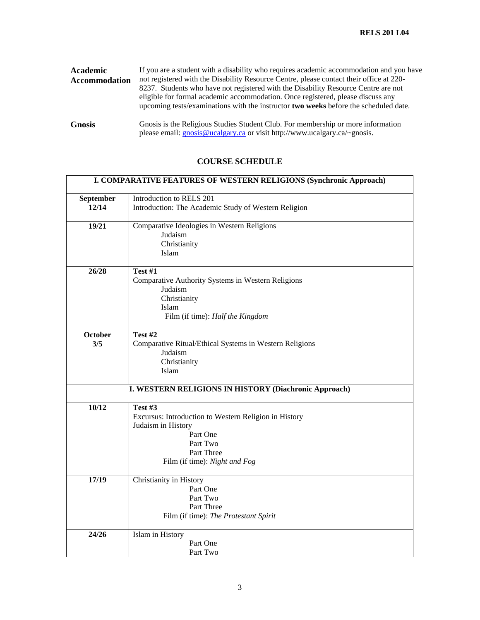| Academic<br><b>Accommodation</b> | If you are a student with a disability who requires academic accommodation and you have<br>not registered with the Disability Resource Centre, please contact their office at 220-<br>8237. Students who have not registered with the Disability Resource Centre are not<br>eligible for formal academic accommodation. Once registered, please discuss any<br>upcoming tests/examinations with the instructor <b>two weeks</b> before the scheduled date. |
|----------------------------------|------------------------------------------------------------------------------------------------------------------------------------------------------------------------------------------------------------------------------------------------------------------------------------------------------------------------------------------------------------------------------------------------------------------------------------------------------------|
| <b>Gnosis</b>                    | Gnosis is the Religious Studies Student Club. For membership or more information<br>please email: <b>gnosis@ucalgary.ca</b> or visit http://www.ucalgary.ca/~gnosis.                                                                                                                                                                                                                                                                                       |

### **COURSE SCHEDULE**

|           | I. COMPARATIVE FEATURES OF WESTERN RELIGIONS (Synchronic Approach) |  |  |
|-----------|--------------------------------------------------------------------|--|--|
| September | Introduction to RELS 201                                           |  |  |
| 12/14     |                                                                    |  |  |
|           | Introduction: The Academic Study of Western Religion               |  |  |
| 19/21     | Comparative Ideologies in Western Religions                        |  |  |
|           | Judaism                                                            |  |  |
|           | Christianity                                                       |  |  |
|           | Islam                                                              |  |  |
| 26/28     | Test #1                                                            |  |  |
|           | Comparative Authority Systems in Western Religions                 |  |  |
|           | Judaism                                                            |  |  |
|           | Christianity                                                       |  |  |
|           | Islam                                                              |  |  |
|           |                                                                    |  |  |
|           | Film (if time): Half the Kingdom                                   |  |  |
| October   | Test #2                                                            |  |  |
| 3/5       | Comparative Ritual/Ethical Systems in Western Religions            |  |  |
|           | Judaism                                                            |  |  |
|           | Christianity                                                       |  |  |
|           | Islam                                                              |  |  |
|           |                                                                    |  |  |
|           | I. WESTERN RELIGIONS IN HISTORY (Diachronic Approach)              |  |  |
| 10/12     | Test #3                                                            |  |  |
|           | Excursus: Introduction to Western Religion in History              |  |  |
|           | Judaism in History                                                 |  |  |
|           | Part One                                                           |  |  |
|           | Part Two                                                           |  |  |
|           | Part Three                                                         |  |  |
|           | Film (if time): Night and Fog                                      |  |  |
|           |                                                                    |  |  |
| 17/19     | Christianity in History                                            |  |  |
|           | Part One                                                           |  |  |
|           | Part Two                                                           |  |  |
|           | Part Three                                                         |  |  |
|           | Film (if time): The Protestant Spirit                              |  |  |
| 24/26     |                                                                    |  |  |
|           | Islam in History                                                   |  |  |
|           | Part One                                                           |  |  |
|           | Part Two                                                           |  |  |